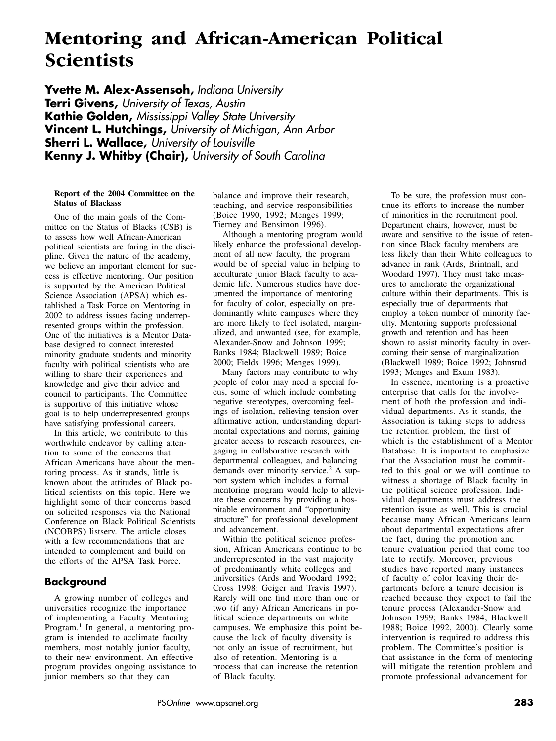# **Mentoring and African-American Political Scientists**

**Yvette M. Alex-Assensoh,** *Indiana University* **Terri Givens,** *University of Texas, Austin* **Kathie Golden,** *Mississippi Valley State University* **Vincent L. Hutchings,** *University of Michigan, Ann Arbor* **Sherri L. Wallace,** *University of Louisville* **Kenny J. Whitby (Chair),** *University of South Carolina*

#### **Report of the 2004 Committee on the Status of Blacksss**

One of the main goals of the Committee on the Status of Blacks (CSB) is to assess how well African-American political scientists are faring in the discipline. Given the nature of the academy, we believe an important element for success is effective mentoring. Our position is supported by the American Political Science Association (APSA) which established a Task Force on Mentoring in 2002 to address issues facing underrepresented groups within the profession. One of the initiatives is a Mentor Database designed to connect interested minority graduate students and minority faculty with political scientists who are willing to share their experiences and knowledge and give their advice and council to participants. The Committee is supportive of this initiative whose goal is to help underrepresented groups have satisfying professional careers.

In this article, we contribute to this worthwhile endeavor by calling attention to some of the concerns that African Americans have about the mentoring process. As it stands, little is known about the attitudes of Black political scientists on this topic. Here we highlight some of their concerns based on solicited responses via the National Conference on Black Political Scientists (NCOBPS) listserv. The article closes with a few recommendations that are intended to complement and build on the efforts of the APSA Task Force.

# **Background**

A growing number of colleges and universities recognize the importance of implementing a Faculty Mentoring Program.<sup>1</sup> In general, a mentoring program is intended to acclimate faculty members, most notably junior faculty, to their new environment. An effective program provides ongoing assistance to junior members so that they can

balance and improve their research, teaching, and service responsibilities (Boice 1990, 1992; Menges 1999; Tierney and Bensimon 1996).

Although a mentoring program would likely enhance the professional development of all new faculty, the program would be of special value in helping to acculturate junior Black faculty to academic life. Numerous studies have documented the importance of mentoring for faculty of color, especially on predominantly white campuses where they are more likely to feel isolated, marginalized, and unwanted (see, for example, Alexander-Snow and Johnson 1999; Banks 1984; Blackwell 1989; Boice 2000; Fields 1996; Menges 1999).

Many factors may contribute to why people of color may need a special focus, some of which include combating negative stereotypes, overcoming feelings of isolation, relieving tension over affirmative action, understanding departmental expectations and norms, gaining greater access to research resources, engaging in collaborative research with departmental colleagues, and balancing demands over minority service.<sup>2</sup> A support system which includes a formal mentoring program would help to alleviate these concerns by providing a hospitable environment and "opportunity structure" for professional development and advancement.

Within the political science profession, African Americans continue to be underrepresented in the vast majority of predominantly white colleges and universities (Ards and Woodard 1992; Cross 1998; Geiger and Travis 1997). Rarely will one find more than one or two (if any) African Americans in political science departments on white campuses. We emphasize this point because the lack of faculty diversity is not only an issue of recruitment, but also of retention. Mentoring is a process that can increase the retention of Black faculty.

To be sure, the profession must continue its efforts to increase the number of minorities in the recruitment pool. Department chairs, however, must be aware and sensitive to the issue of retention since Black faculty members are less likely than their White colleagues to advance in rank (Ards, Brintnall, and Woodard 1997). They must take measures to ameliorate the organizational culture within their departments. This is especially true of departments that employ a token number of minority faculty. Mentoring supports professional growth and retention and has been shown to assist minority faculty in overcoming their sense of marginalization (Blackwell 1989; Boice 1992; Johnsrud 1993; Menges and Exum 1983).

In essence, mentoring is a proactive enterprise that calls for the involvement of both the profession and individual departments. As it stands, the Association is taking steps to address the retention problem, the first of which is the establishment of a Mentor Database. It is important to emphasize that the Association must be committed to this goal or we will continue to witness a shortage of Black faculty in the political science profession. Individual departments must address the retention issue as well. This is crucial because many African Americans learn about departmental expectations after the fact, during the promotion and tenure evaluation period that come too late to rectify. Moreover, previous studies have reported many instances of faculty of color leaving their departments before a tenure decision is reached because they expect to fail the tenure process (Alexander-Snow and Johnson 1999; Banks 1984; Blackwell 1988; Boice 1992, 2000). Clearly some intervention is required to address this problem. The Committee's position is that assistance in the form of mentoring will mitigate the retention problem and promote professional advancement for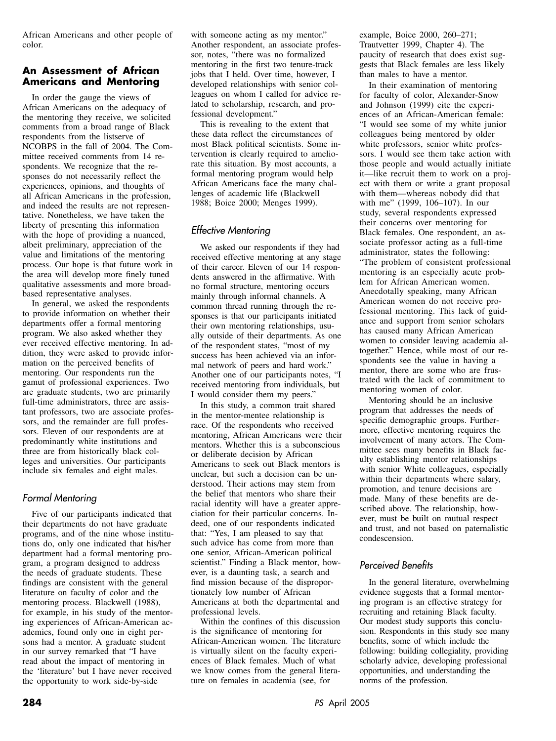African Americans and other people of color.

# **An Assessment of African Americans and Mentoring**

In order the gauge the views of African Americans on the adequacy of the mentoring they receive, we solicited comments from a broad range of Black respondents from the listserve of NCOBPS in the fall of 2004. The Committee received comments from 14 respondents. We recognize that the responses do not necessarily reflect the experiences, opinions, and thoughts of all African Americans in the profession, and indeed the results are not representative. Nonetheless, we have taken the liberty of presenting this information with the hope of providing a nuanced, albeit preliminary, appreciation of the value and limitations of the mentoring process. Our hope is that future work in the area will develop more finely tuned qualitative assessments and more broadbased representative analyses.

In general, we asked the respondents to provide information on whether their departments offer a formal mentoring program. We also asked whether they ever received effective mentoring. In addition, they were asked to provide information on the perceived benefits of mentoring. Our respondents run the gamut of professional experiences. Two are graduate students, two are primarily full-time administrators, three are assistant professors, two are associate professors, and the remainder are full professors. Eleven of our respondents are at predominantly white institutions and three are from historically black colleges and universities. Our participants include six females and eight males.

# *Formal Mentoring*

Five of our participants indicated that their departments do not have graduate programs, and of the nine whose institutions do, only one indicated that his/her department had a formal mentoring program, a program designed to address the needs of graduate students. These findings are consistent with the general literature on faculty of color and the mentoring process. Blackwell (1988), for example, in his study of the mentoring experiences of African-American academics, found only one in eight persons had a mentor. A graduate student in our survey remarked that "I have read about the impact of mentoring in the 'literature' but I have never received the opportunity to work side-by-side

with someone acting as my mentor." Another respondent, an associate professor, notes, "there was no formalized mentoring in the first two tenure-track jobs that I held. Over time, however, I developed relationships with senior colleagues on whom I called for advice related to scholarship, research, and professional development."

This is revealing to the extent that these data reflect the circumstances of most Black political scientists. Some intervention is clearly required to ameliorate this situation. By most accounts, a formal mentoring program would help African Americans face the many challenges of academic life (Blackwell 1988; Boice 2000; Menges 1999).

# *Effective Mentoring*

We asked our respondents if they had received effective mentoring at any stage of their career. Eleven of our 14 respondents answered in the affirmative. With no formal structure, mentoring occurs mainly through informal channels. A common thread running through the responses is that our participants initiated their own mentoring relationships, usually outside of their departments. As one of the respondent states, "most of my success has been achieved via an informal network of peers and hard work." Another one of our participants notes, "I received mentoring from individuals, but I would consider them my peers."

In this study, a common trait shared in the mentor-mentee relationship is race. Of the respondents who received mentoring, African Americans were their mentors. Whether this is a subconscious or deliberate decision by African Americans to seek out Black mentors is unclear, but such a decision can be understood. Their actions may stem from the belief that mentors who share their racial identity will have a greater appreciation for their particular concerns. Indeed, one of our respondents indicated that: "Yes, I am pleased to say that such advice has come from more than one senior, African-American political scientist." Finding a Black mentor, however, is a daunting task, a search and find mission because of the disproportionately low number of African Americans at both the departmental and professional levels.

Within the confines of this discussion is the significance of mentoring for African-American women. The literature is virtually silent on the faculty experiences of Black females. Much of what we know comes from the general literature on females in academia (see, for

example, Boice 2000, 260–271; Trautvetter 1999, Chapter 4). The paucity of research that does exist suggests that Black females are less likely than males to have a mentor.

In their examination of mentoring for faculty of color, Alexander-Snow and Johnson (1999) cite the experiences of an African-American female: "I would see some of my white junior colleagues being mentored by older white professors, senior white professors. I would see them take action with those people and would actually initiate it—like recruit them to work on a project with them or write a grant proposal with them—whereas nobody did that with me" (1999, 106–107). In our study, several respondents expressed their concerns over mentoring for Black females. One respondent, an associate professor acting as a full-time administrator, states the following: "The problem of consistent professional mentoring is an especially acute problem for African American women. Anecdotally speaking, many African American women do not receive professional mentoring. This lack of guidance and support from senior scholars has caused many African American women to consider leaving academia altogether." Hence, while most of our respondents see the value in having a mentor, there are some who are frustrated with the lack of commitment to mentoring women of color.

Mentoring should be an inclusive program that addresses the needs of specific demographic groups. Furthermore, effective mentoring requires the involvement of many actors. The Committee sees many benefits in Black faculty establishing mentor relationships with senior White colleagues, especially within their departments where salary, promotion, and tenure decisions are made. Many of these benefits are described above. The relationship, however, must be built on mutual respect and trust, and not based on paternalistic condescension.

### *Perceived Benefits*

In the general literature, overwhelming evidence suggests that a formal mentoring program is an effective strategy for recruiting and retaining Black faculty. Our modest study supports this conclusion. Respondents in this study see many benefits, some of which include the following: building collegiality, providing scholarly advice, developing professional opportunities, and understanding the norms of the profession.